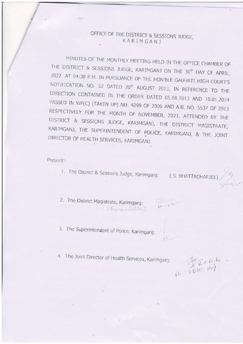## OFFICE OF THE DISTRICT & SESSIONS JUDGE, KARIMGANJ

MINUTES OF THE MONTHLY MEETING HELD IN THE OFFICE CHAMBER OF THE DISTRICT & SESSIONS JUDGE, KARIMGANJ ON THE 30<sup>th</sup> DAY OF APRIL, 2022 AT 04:30 P.M. IN PURSUANCE OF THE HON'BLE GAUHATI HIGH COURT'S NOTIFICATION NO. 52 DATED 20<sup>th</sup> AUGUST 2013, IN REFERENCE TO THE DIRECTION CONTAINED IN THE ORDER DATED 05.08.2013 AND 10.01.2014 PASSED IN WP(C) (TAKEN UP) NO. 4299 OF 2006 AND A.B. NO. 5537 OF 2013 RESPECTIVELY FOR THE MONTH OF NOVEMBER, 2021, ATTENDED BY THE DISTRICT & SESSIONS JUDGE, KARIMGANJ, THE DISTRICT MAGISTRATE, KARIMGANJ, THE SUPERINTENDENT OF POLICE, KARIMGANJ, & THE JOINT DIRECTOR OF HEALTH SERVICES, KARIMGANJ.

Present:-

1. The District & Sessions Judge, Karimganj: (S. BHATTACHARJEE)

2. The District Magistrate, Karimganj: (Representative)

Le rece

- 3. The Superintendent of Police, Karimganj:
- 4. The Joint Director of Health Services, Karimganj:

Ps JDBS, 21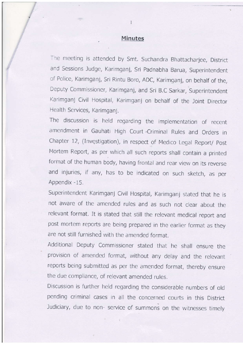## Minutes

I

The meeting is attended by Smt. Suchandra Bhattacharjee, District and Sessions Judge, Karimganj, Sri padnabha Barua, Superintendent of Police, Karimganj, Sri Rintu Boro, ADC, Karimganj, on behalf of the, Deputy Commissioner, Karimganj, and Sri B.C Sarkar, Superintendent Karimganj Civil Hospital, Karimganj on behalf of the Joint Director Health Services, Karimganj.

The discussion is held regarding the implementation of recent amendment in Gauhati High Court Criminal Rules and Orders in Chapter 12, (Investigation), in respect of Medico Legal Report/ Post Mortem Report, as per which all such reports shall contain a printed format of the human body, having frontal and rear view on its reverse and injuries, if any, has to be indicated on such sketch, as per Appendix - 15.

Superintendent Karimganj Civil Hospital, Karimganj stated that he is not aware of the amended rules and as such not clear about the relevant format. It is stated that still the relevant medical report and post mortem reports are being prepared in the carlier format as they are not still furnished with the amended format.

Additional Deputy Commissioner stated that he shall ensure the provision of amended format, without any delay and the relevant reports being submitted as per the amended format, thereby ensure the due compliance, of relevant amended rules.

Discussion is further held regarding the considerable numbers of old pending criminal cascs in all the concerned courts in this District Judiciary, due to non- service of summons on the witnesses timely